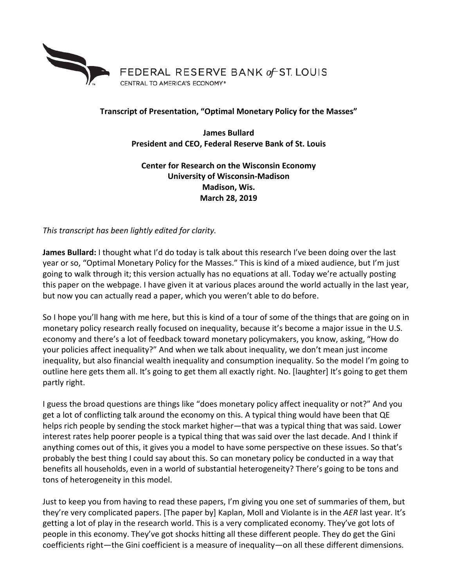

## **Transcript of Presentation, "Optimal Monetary Policy for the Masses"**

**James Bullard President and CEO, Federal Reserve Bank of St. Louis**

**Center for Research on the Wisconsin Economy University of Wisconsin-Madison Madison, Wis. March 28, 2019**

*This transcript has been lightly edited for clarity.*

**James Bullard:** I thought what I'd do today is talk about this research I've been doing over the last year or so, "Optimal Monetary Policy for the Masses." This is kind of a mixed audience, but I'm just going to walk through it; this version actually has no equations at all. Today we're actually posting this paper on the webpage. I have given it at various places around the world actually in the last year, but now you can actually read a paper, which you weren't able to do before.

So I hope you'll hang with me here, but this is kind of a tour of some of the things that are going on in monetary policy research really focused on inequality, because it's become a major issue in the U.S. economy and there's a lot of feedback toward monetary policymakers, you know, asking, "How do your policies affect inequality?" And when we talk about inequality, we don't mean just income inequality, but also financial wealth inequality and consumption inequality. So the model I'm going to outline here gets them all. It's going to get them all exactly right. No. [laughter] It's going to get them partly right.

I guess the broad questions are things like "does monetary policy affect inequality or not?" And you get a lot of conflicting talk around the economy on this. A typical thing would have been that QE helps rich people by sending the stock market higher—that was a typical thing that was said. Lower interest rates help poorer people is a typical thing that was said over the last decade. And I think if anything comes out of this, it gives you a model to have some perspective on these issues. So that's probably the best thing I could say about this. So can monetary policy be conducted in a way that benefits all households, even in a world of substantial heterogeneity? There's going to be tons and tons of heterogeneity in this model.

Just to keep you from having to read these papers, I'm giving you one set of summaries of them, but they're very complicated papers. [The paper by] Kaplan, Moll and Violante is in the *AER* last year. It's getting a lot of play in the research world. This is a very complicated economy. They've got lots of people in this economy. They've got shocks hitting all these different people. They do get the Gini coefficients right—the Gini coefficient is a measure of inequality—on all these different dimensions.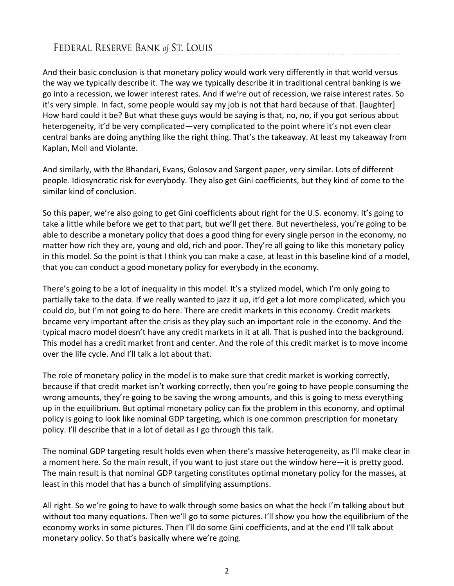And their basic conclusion is that monetary policy would work very differently in that world versus the way we typically describe it. The way we typically describe it in traditional central banking is we go into a recession, we lower interest rates. And if we're out of recession, we raise interest rates. So it's very simple. In fact, some people would say my job is not that hard because of that. [laughter] How hard could it be? But what these guys would be saying is that, no, no, if you got serious about heterogeneity, it'd be very complicated—very complicated to the point where it's not even clear central banks are doing anything like the right thing. That's the takeaway. At least my takeaway from Kaplan, Moll and Violante.

And similarly, with the Bhandari, Evans, Golosov and Sargent paper, very similar. Lots of different people. Idiosyncratic risk for everybody. They also get Gini coefficients, but they kind of come to the similar kind of conclusion.

So this paper, we're also going to get Gini coefficients about right for the U.S. economy. It's going to take a little while before we get to that part, but we'll get there. But nevertheless, you're going to be able to describe a monetary policy that does a good thing for every single person in the economy, no matter how rich they are, young and old, rich and poor. They're all going to like this monetary policy in this model. So the point is that I think you can make a case, at least in this baseline kind of a model, that you can conduct a good monetary policy for everybody in the economy.

There's going to be a lot of inequality in this model. It's a stylized model, which I'm only going to partially take to the data. If we really wanted to jazz it up, it'd get a lot more complicated, which you could do, but I'm not going to do here. There are credit markets in this economy. Credit markets became very important after the crisis as they play such an important role in the economy. And the typical macro model doesn't have any credit markets in it at all. That is pushed into the background. This model has a credit market front and center. And the role of this credit market is to move income over the life cycle. And I'll talk a lot about that.

The role of monetary policy in the model is to make sure that credit market is working correctly, because if that credit market isn't working correctly, then you're going to have people consuming the wrong amounts, they're going to be saving the wrong amounts, and this is going to mess everything up in the equilibrium. But optimal monetary policy can fix the problem in this economy, and optimal policy is going to look like nominal GDP targeting, which is one common prescription for monetary policy. I'll describe that in a lot of detail as I go through this talk.

The nominal GDP targeting result holds even when there's massive heterogeneity, as I'll make clear in a moment here. So the main result, if you want to just stare out the window here—it is pretty good. The main result is that nominal GDP targeting constitutes optimal monetary policy for the masses, at least in this model that has a bunch of simplifying assumptions.

All right. So we're going to have to walk through some basics on what the heck I'm talking about but without too many equations. Then we'll go to some pictures. I'll show you how the equilibrium of the economy works in some pictures. Then I'll do some Gini coefficients, and at the end I'll talk about monetary policy. So that's basically where we're going.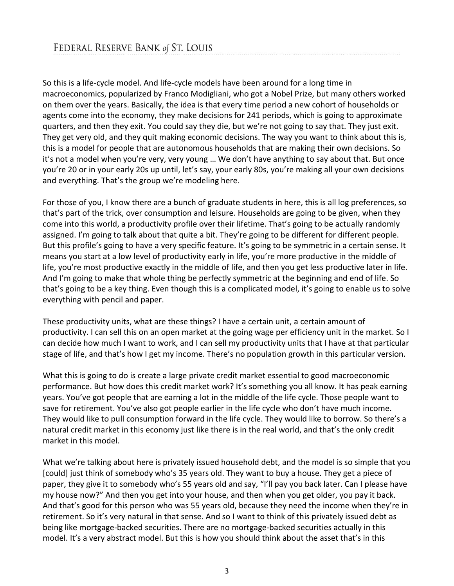So this is a life-cycle model. And life-cycle models have been around for a long time in macroeconomics, popularized by Franco Modigliani, who got a Nobel Prize, but many others worked on them over the years. Basically, the idea is that every time period a new cohort of households or agents come into the economy, they make decisions for 241 periods, which is going to approximate quarters, and then they exit. You could say they die, but we're not going to say that. They just exit. They get very old, and they quit making economic decisions. The way you want to think about this is, this is a model for people that are autonomous households that are making their own decisions. So it's not a model when you're very, very young … We don't have anything to say about that. But once you're 20 or in your early 20s up until, let's say, your early 80s, you're making all your own decisions and everything. That's the group we're modeling here.

For those of you, I know there are a bunch of graduate students in here, this is all log preferences, so that's part of the trick, over consumption and leisure. Households are going to be given, when they come into this world, a productivity profile over their lifetime. That's going to be actually randomly assigned. I'm going to talk about that quite a bit. They're going to be different for different people. But this profile's going to have a very specific feature. It's going to be symmetric in a certain sense. It means you start at a low level of productivity early in life, you're more productive in the middle of life, you're most productive exactly in the middle of life, and then you get less productive later in life. And I'm going to make that whole thing be perfectly symmetric at the beginning and end of life. So that's going to be a key thing. Even though this is a complicated model, it's going to enable us to solve everything with pencil and paper.

These productivity units, what are these things? I have a certain unit, a certain amount of productivity. I can sell this on an open market at the going wage per efficiency unit in the market. So I can decide how much I want to work, and I can sell my productivity units that I have at that particular stage of life, and that's how I get my income. There's no population growth in this particular version.

What this is going to do is create a large private credit market essential to good macroeconomic performance. But how does this credit market work? It's something you all know. It has peak earning years. You've got people that are earning a lot in the middle of the life cycle. Those people want to save for retirement. You've also got people earlier in the life cycle who don't have much income. They would like to pull consumption forward in the life cycle. They would like to borrow. So there's a natural credit market in this economy just like there is in the real world, and that's the only credit market in this model.

What we're talking about here is privately issued household debt, and the model is so simple that you [could] just think of somebody who's 35 years old. They want to buy a house. They get a piece of paper, they give it to somebody who's 55 years old and say, "I'll pay you back later. Can I please have my house now?" And then you get into your house, and then when you get older, you pay it back. And that's good for this person who was 55 years old, because they need the income when they're in retirement. So it's very natural in that sense. And so I want to think of this privately issued debt as being like mortgage-backed securities. There are no mortgage-backed securities actually in this model. It's a very abstract model. But this is how you should think about the asset that's in this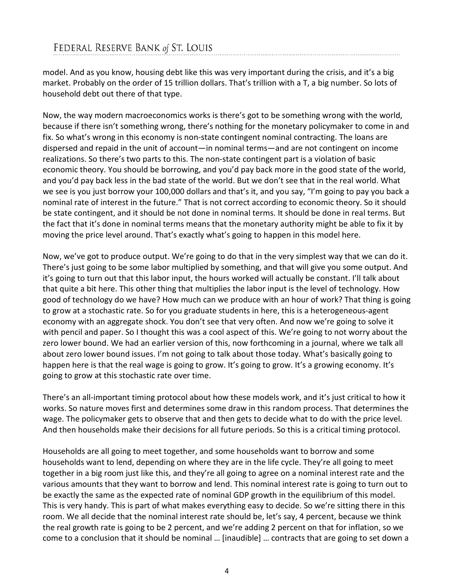model. And as you know, housing debt like this was very important during the crisis, and it's a big market. Probably on the order of 15 trillion dollars. That's trillion with a T, a big number. So lots of household debt out there of that type.

Now, the way modern macroeconomics works is there's got to be something wrong with the world, because if there isn't something wrong, there's nothing for the monetary policymaker to come in and fix. So what's wrong in this economy is non-state contingent nominal contracting. The loans are dispersed and repaid in the unit of account—in nominal terms—and are not contingent on income realizations. So there's two parts to this. The non-state contingent part is a violation of basic economic theory. You should be borrowing, and you'd pay back more in the good state of the world, and you'd pay back less in the bad state of the world. But we don't see that in the real world. What we see is you just borrow your 100,000 dollars and that's it, and you say, "I'm going to pay you back a nominal rate of interest in the future." That is not correct according to economic theory. So it should be state contingent, and it should be not done in nominal terms. It should be done in real terms. But the fact that it's done in nominal terms means that the monetary authority might be able to fix it by moving the price level around. That's exactly what's going to happen in this model here.

Now, we've got to produce output. We're going to do that in the very simplest way that we can do it. There's just going to be some labor multiplied by something, and that will give you some output. And it's going to turn out that this labor input, the hours worked will actually be constant. I'll talk about that quite a bit here. This other thing that multiplies the labor input is the level of technology. How good of technology do we have? How much can we produce with an hour of work? That thing is going to grow at a stochastic rate. So for you graduate students in here, this is a heterogeneous-agent economy with an aggregate shock. You don't see that very often. And now we're going to solve it with pencil and paper. So I thought this was a cool aspect of this. We're going to not worry about the zero lower bound. We had an earlier version of this, now forthcoming in a journal, where we talk all about zero lower bound issues. I'm not going to talk about those today. What's basically going to happen here is that the real wage is going to grow. It's going to grow. It's a growing economy. It's going to grow at this stochastic rate over time.

There's an all-important timing protocol about how these models work, and it's just critical to how it works. So nature moves first and determines some draw in this random process. That determines the wage. The policymaker gets to observe that and then gets to decide what to do with the price level. And then households make their decisions for all future periods. So this is a critical timing protocol.

Households are all going to meet together, and some households want to borrow and some households want to lend, depending on where they are in the life cycle. They're all going to meet together in a big room just like this, and they're all going to agree on a nominal interest rate and the various amounts that they want to borrow and lend. This nominal interest rate is going to turn out to be exactly the same as the expected rate of nominal GDP growth in the equilibrium of this model. This is very handy. This is part of what makes everything easy to decide. So we're sitting there in this room. We all decide that the nominal interest rate should be, let's say, 4 percent, because we think the real growth rate is going to be 2 percent, and we're adding 2 percent on that for inflation, so we come to a conclusion that it should be nominal … [inaudible] … contracts that are going to set down a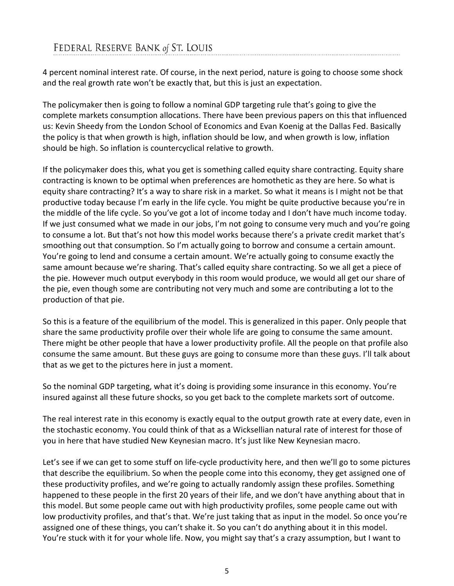4 percent nominal interest rate. Of course, in the next period, nature is going to choose some shock and the real growth rate won't be exactly that, but this is just an expectation.

The policymaker then is going to follow a nominal GDP targeting rule that's going to give the complete markets consumption allocations. There have been previous papers on this that influenced us: Kevin Sheedy from the London School of Economics and Evan Koenig at the Dallas Fed. Basically the policy is that when growth is high, inflation should be low, and when growth is low, inflation should be high. So inflation is countercyclical relative to growth.

If the policymaker does this, what you get is something called equity share contracting. Equity share contracting is known to be optimal when preferences are homothetic as they are here. So what is equity share contracting? It's a way to share risk in a market. So what it means is I might not be that productive today because I'm early in the life cycle. You might be quite productive because you're in the middle of the life cycle. So you've got a lot of income today and I don't have much income today. If we just consumed what we made in our jobs, I'm not going to consume very much and you're going to consume a lot. But that's not how this model works because there's a private credit market that's smoothing out that consumption. So I'm actually going to borrow and consume a certain amount. You're going to lend and consume a certain amount. We're actually going to consume exactly the same amount because we're sharing. That's called equity share contracting. So we all get a piece of the pie. However much output everybody in this room would produce, we would all get our share of the pie, even though some are contributing not very much and some are contributing a lot to the production of that pie.

So this is a feature of the equilibrium of the model. This is generalized in this paper. Only people that share the same productivity profile over their whole life are going to consume the same amount. There might be other people that have a lower productivity profile. All the people on that profile also consume the same amount. But these guys are going to consume more than these guys. I'll talk about that as we get to the pictures here in just a moment.

So the nominal GDP targeting, what it's doing is providing some insurance in this economy. You're insured against all these future shocks, so you get back to the complete markets sort of outcome.

The real interest rate in this economy is exactly equal to the output growth rate at every date, even in the stochastic economy. You could think of that as a Wicksellian natural rate of interest for those of you in here that have studied New Keynesian macro. It's just like New Keynesian macro.

Let's see if we can get to some stuff on life-cycle productivity here, and then we'll go to some pictures that describe the equilibrium. So when the people come into this economy, they get assigned one of these productivity profiles, and we're going to actually randomly assign these profiles. Something happened to these people in the first 20 years of their life, and we don't have anything about that in this model. But some people came out with high productivity profiles, some people came out with low productivity profiles, and that's that. We're just taking that as input in the model. So once you're assigned one of these things, you can't shake it. So you can't do anything about it in this model. You're stuck with it for your whole life. Now, you might say that's a crazy assumption, but I want to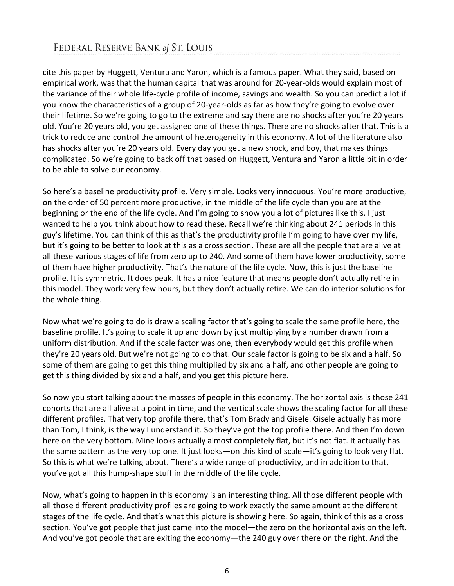cite this paper by Huggett, Ventura and Yaron, which is a famous paper. What they said, based on empirical work, was that the human capital that was around for 20-year-olds would explain most of the variance of their whole life-cycle profile of income, savings and wealth. So you can predict a lot if you know the characteristics of a group of 20-year-olds as far as how they're going to evolve over their lifetime. So we're going to go to the extreme and say there are no shocks after you're 20 years old. You're 20 years old, you get assigned one of these things. There are no shocks after that. This is a trick to reduce and control the amount of heterogeneity in this economy. A lot of the literature also has shocks after you're 20 years old. Every day you get a new shock, and boy, that makes things complicated. So we're going to back off that based on Huggett, Ventura and Yaron a little bit in order to be able to solve our economy.

So here's a baseline productivity profile. Very simple. Looks very innocuous. You're more productive, on the order of 50 percent more productive, in the middle of the life cycle than you are at the beginning or the end of the life cycle. And I'm going to show you a lot of pictures like this. I just wanted to help you think about how to read these. Recall we're thinking about 241 periods in this guy's lifetime. You can think of this as that's the productivity profile I'm going to have over my life, but it's going to be better to look at this as a cross section. These are all the people that are alive at all these various stages of life from zero up to 240. And some of them have lower productivity, some of them have higher productivity. That's the nature of the life cycle. Now, this is just the baseline profile. It is symmetric. It does peak. It has a nice feature that means people don't actually retire in this model. They work very few hours, but they don't actually retire. We can do interior solutions for the whole thing.

Now what we're going to do is draw a scaling factor that's going to scale the same profile here, the baseline profile. It's going to scale it up and down by just multiplying by a number drawn from a uniform distribution. And if the scale factor was one, then everybody would get this profile when they're 20 years old. But we're not going to do that. Our scale factor is going to be six and a half. So some of them are going to get this thing multiplied by six and a half, and other people are going to get this thing divided by six and a half, and you get this picture here.

So now you start talking about the masses of people in this economy. The horizontal axis is those 241 cohorts that are all alive at a point in time, and the vertical scale shows the scaling factor for all these different profiles. That very top profile there, that's Tom Brady and Gisele. Gisele actually has more than Tom, I think, is the way I understand it. So they've got the top profile there. And then I'm down here on the very bottom. Mine looks actually almost completely flat, but it's not flat. It actually has the same pattern as the very top one. It just looks—on this kind of scale—it's going to look very flat. So this is what we're talking about. There's a wide range of productivity, and in addition to that, you've got all this hump-shape stuff in the middle of the life cycle.

Now, what's going to happen in this economy is an interesting thing. All those different people with all those different productivity profiles are going to work exactly the same amount at the different stages of the life cycle. And that's what this picture is showing here. So again, think of this as a cross section. You've got people that just came into the model—the zero on the horizontal axis on the left. And you've got people that are exiting the economy—the 240 guy over there on the right. And the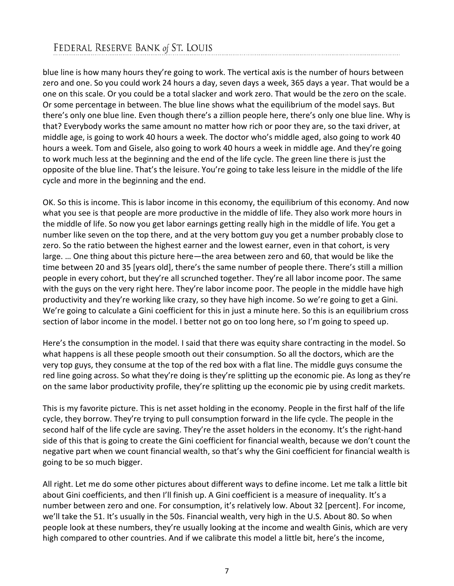blue line is how many hours they're going to work. The vertical axis is the number of hours between zero and one. So you could work 24 hours a day, seven days a week, 365 days a year. That would be a one on this scale. Or you could be a total slacker and work zero. That would be the zero on the scale. Or some percentage in between. The blue line shows what the equilibrium of the model says. But there's only one blue line. Even though there's a zillion people here, there's only one blue line. Why is that? Everybody works the same amount no matter how rich or poor they are, so the taxi driver, at middle age, is going to work 40 hours a week. The doctor who's middle aged, also going to work 40 hours a week. Tom and Gisele, also going to work 40 hours a week in middle age. And they're going to work much less at the beginning and the end of the life cycle. The green line there is just the opposite of the blue line. That's the leisure. You're going to take less leisure in the middle of the life cycle and more in the beginning and the end.

OK. So this is income. This is labor income in this economy, the equilibrium of this economy. And now what you see is that people are more productive in the middle of life. They also work more hours in the middle of life. So now you get labor earnings getting really high in the middle of life. You get a number like seven on the top there, and at the very bottom guy you get a number probably close to zero. So the ratio between the highest earner and the lowest earner, even in that cohort, is very large. … One thing about this picture here—the area between zero and 60, that would be like the time between 20 and 35 [years old], there's the same number of people there. There's still a million people in every cohort, but they're all scrunched together. They're all labor income poor. The same with the guys on the very right here. They're labor income poor. The people in the middle have high productivity and they're working like crazy, so they have high income. So we're going to get a Gini. We're going to calculate a Gini coefficient for this in just a minute here. So this is an equilibrium cross section of labor income in the model. I better not go on too long here, so I'm going to speed up.

Here's the consumption in the model. I said that there was equity share contracting in the model. So what happens is all these people smooth out their consumption. So all the doctors, which are the very top guys, they consume at the top of the red box with a flat line. The middle guys consume the red line going across. So what they're doing is they're splitting up the economic pie. As long as they're on the same labor productivity profile, they're splitting up the economic pie by using credit markets.

This is my favorite picture. This is net asset holding in the economy. People in the first half of the life cycle, they borrow. They're trying to pull consumption forward in the life cycle. The people in the second half of the life cycle are saving. They're the asset holders in the economy. It's the right-hand side of this that is going to create the Gini coefficient for financial wealth, because we don't count the negative part when we count financial wealth, so that's why the Gini coefficient for financial wealth is going to be so much bigger.

All right. Let me do some other pictures about different ways to define income. Let me talk a little bit about Gini coefficients, and then I'll finish up. A Gini coefficient is a measure of inequality. It's a number between zero and one. For consumption, it's relatively low. About 32 [percent]. For income, we'll take the 51. It's usually in the 50s. Financial wealth, very high in the U.S. About 80. So when people look at these numbers, they're usually looking at the income and wealth Ginis, which are very high compared to other countries. And if we calibrate this model a little bit, here's the income,